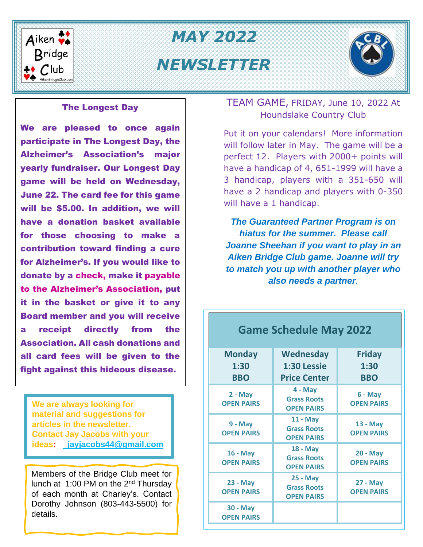

# *Mm MAY 2022* **Bridge** WEWSLETTER



#### The Longest Day

We are pleased to once again participate in The Longest Day, the Alzheimer's Association's major yearly fundraiser. Our Longest Day game will be held on Wednesday, June 22. The card fee for this game will be \$5.00. In addition, we will have a donation basket available for those choosing to make a contribution toward finding a cure for Alzheimer's. If you would like to donate by a check, make it payable to the Alzheimer's Association, put it in the basket or give it to any Board member and you will receive a receipt directly from the Association. All cash donations and all card fees will be given to the fight against this hideous disease.

**We are always looking for material and suggestions for articles in the newsletter. Contact Jay Jacobs with your ideas: [jayjacobs44@gmail.com](mailto:%20%20jayjacobs44@gmail.com)**

Members of the Bridge Club meet for lunch at 1:00 PM on the 2<sup>nd</sup> Thursday of each month at Charley's. Contact Dorothy Johnson (803-443-5500) for details.

#### TEAM GAME, FRIDAY, June 10, 2022 At Houndslake Country Club

Put it on your calendars! More information will follow later in May. The game will be a perfect 12. Players with 2000+ points will have a handicap of 4, 651-1999 will have a 3 handicap, players with a 351-650 will have a 2 handicap and players with 0-350 will have a 1 handicap.

*The Guaranteed Partner Program is on hiatus for the summer. Please call Joanne Sheehan if you want to play in an Aiken Bridge Club game. Joanne will try to match you up with another player who also needs a partner.*

| <b>Monday</b><br>1:30<br><b>BBO</b> | <b>Wednesday</b><br>1:30 Lessie<br><b>Price Center</b>     | <b>Friday</b><br>1:30<br><b>BBO</b>  |  |  |  |  |  |
|-------------------------------------|------------------------------------------------------------|--------------------------------------|--|--|--|--|--|
| $2 - May$<br><b>OPEN PAIRS</b>      | $4 - May$<br><b>Grass Roots</b><br><b>OPEN PAIRS</b>       | $6 - May$<br><b>OPEN PAIRS</b>       |  |  |  |  |  |
| $9 - May$<br><b>OPEN PAIRS</b>      | 11 - May<br><b>Grass Roots</b><br><b>OPEN PAIRS</b>        | 13 - May<br><b>OPEN PAIRS</b>        |  |  |  |  |  |
| 16 - May<br><b>OPEN PAIRS</b>       | <b>18 - May</b><br><b>Grass Roots</b><br><b>OPEN PAIRS</b> | <b>20 - May</b><br><b>OPEN PAIRS</b> |  |  |  |  |  |
| 23 - May<br><b>OPEN PAIRS</b>       | <b>25 - May</b><br><b>Grass Roots</b><br><b>OPEN PAIRS</b> | 27 - May<br><b>OPEN PAIRS</b>        |  |  |  |  |  |
| 30 - May<br><b>OPEN PAIRS</b>       |                                                            |                                      |  |  |  |  |  |

**Game Schedule May 2022**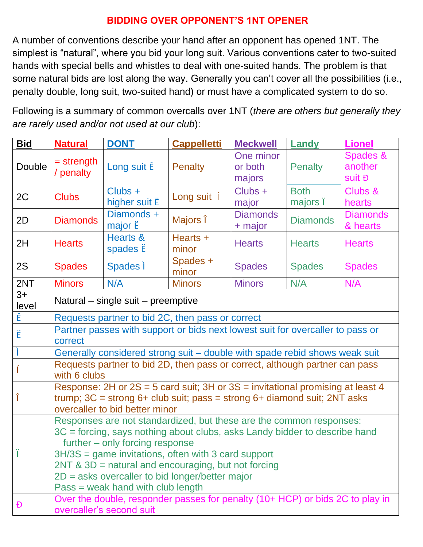#### **BIDDING OVER OPPONENT'S 1NT OPENER**

A number of conventions describe your hand after an opponent has opened 1NT. The simplest is "natural", where you bid your long suit. Various conventions cater to two-suited hands with special bells and whistles to deal with one-suited hands. The problem is that some natural bids are lost along the way. Generally you can't cover all the possibilities (i.e., penalty double, long suit, two-suited hand) or must have a complicated system to do so.

Following is a summary of common overcalls over 1NT (*there are others but generally they are rarely used and/or not used at our club*):

| <b>Bid</b>    | <b>Natural</b>                                                                                                                                                                                                                                                                                                                                                                                     | <b>DONT</b>                       | <b>Cappelletti</b> | <b>Meckwell</b>                | Landy                   | <b>Lionel</b>                 |  |  |
|---------------|----------------------------------------------------------------------------------------------------------------------------------------------------------------------------------------------------------------------------------------------------------------------------------------------------------------------------------------------------------------------------------------------------|-----------------------------------|--------------------|--------------------------------|-------------------------|-------------------------------|--|--|
| Double        | $=$ strength<br>/ penalty                                                                                                                                                                                                                                                                                                                                                                          | Long suit Ê                       | <b>Penalty</b>     | One minor<br>or both<br>majors | <b>Penalty</b>          | Spades &<br>another<br>suit Đ |  |  |
| 2C            | <b>Clubs</b>                                                                                                                                                                                                                                                                                                                                                                                       | $Clubs +$<br>higher suit <b>E</b> | Long suit í        | Clubs +<br>major               | <b>Both</b><br>majors i | Clubs &<br>hearts             |  |  |
| 2D            | <b>Diamonds</b>                                                                                                                                                                                                                                                                                                                                                                                    | Diamonds +<br>major <b>E</b>      | Majors î           | <b>Diamonds</b><br>+ major     | <b>Diamonds</b>         | <b>Diamonds</b><br>& hearts   |  |  |
| 2H            | <b>Hearts</b>                                                                                                                                                                                                                                                                                                                                                                                      | Hearts &<br>spades <b>E</b>       | Hearts +<br>minor  | <b>Hearts</b>                  | <b>Hearts</b>           | <b>Hearts</b>                 |  |  |
| <b>2S</b>     | <b>Spades</b>                                                                                                                                                                                                                                                                                                                                                                                      | Spades i                          | Spades +<br>minor  | <b>Spades</b>                  | <b>Spades</b>           | <b>Spades</b>                 |  |  |
| 2NT           | <b>Minors</b>                                                                                                                                                                                                                                                                                                                                                                                      | N/A                               | <b>Minors</b>      | <b>Minors</b>                  | N/A                     | N/A                           |  |  |
| $3+$<br>level | Natural – single suit – preemptive                                                                                                                                                                                                                                                                                                                                                                 |                                   |                    |                                |                         |                               |  |  |
| Ê             | Requests partner to bid 2C, then pass or correct                                                                                                                                                                                                                                                                                                                                                   |                                   |                    |                                |                         |                               |  |  |
| Ë             | Partner passes with support or bids next lowest suit for overcaller to pass or<br>correct                                                                                                                                                                                                                                                                                                          |                                   |                    |                                |                         |                               |  |  |
|               | Generally considered strong suit - double with spade rebid shows weak suit                                                                                                                                                                                                                                                                                                                         |                                   |                    |                                |                         |                               |  |  |
|               | Requests partner to bid 2D, then pass or correct, although partner can pass<br>with 6 clubs                                                                                                                                                                                                                                                                                                        |                                   |                    |                                |                         |                               |  |  |
| Î             | Response: 2H or $2S = 5$ card suit; 3H or $3S =$ invitational promising at least 4<br>trump; $3C =$ strong $6+$ club suit; pass = strong $6+$ diamond suit; $2NT$ asks<br>overcaller to bid better minor                                                                                                                                                                                           |                                   |                    |                                |                         |                               |  |  |
|               | Responses are not standardized, but these are the common responses:<br>3C = forcing, says nothing about clubs, asks Landy bidder to describe hand<br>further – only forcing response<br>$3H/3S =$ game invitations, often with 3 card support<br>$2NT$ & $3D$ = natural and encouraging, but not forcing<br>2D = asks overcaller to bid longer/better major<br>$Pass = weak$ hand with club length |                                   |                    |                                |                         |                               |  |  |
| Ð             | Over the double, responder passes for penalty (10+ HCP) or bids 2C to play in<br>overcaller's second suit                                                                                                                                                                                                                                                                                          |                                   |                    |                                |                         |                               |  |  |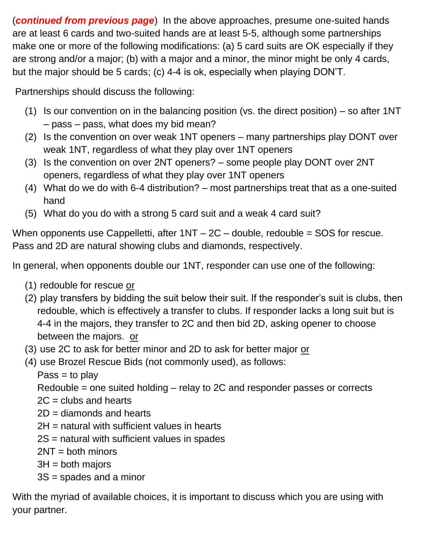(*continued from previous page*) In the above approaches, presume one-suited hands are at least 6 cards and two-suited hands are at least 5-5, although some partnerships make one or more of the following modifications: (a) 5 card suits are OK especially if they are strong and/or a major; (b) with a major and a minor, the minor might be only 4 cards, but the major should be 5 cards; (c) 4-4 is ok, especially when playing DON'T.

Partnerships should discuss the following:

- (1) Is our convention on in the balancing position (vs. the direct position) so after 1NT – pass – pass, what does my bid mean?
- (2) Is the convention on over weak 1NT openers many partnerships play DONT over weak 1NT, regardless of what they play over 1NT openers
- (3) Is the convention on over 2NT openers? some people play DONT over 2NT openers, regardless of what they play over 1NT openers
- (4) What do we do with 6-4 distribution? most partnerships treat that as a one-suited hand
- (5) What do you do with a strong 5 card suit and a weak 4 card suit?

When opponents use Cappelletti, after  $1NT - 2C -$  double, redouble = SOS for rescue. Pass and 2D are natural showing clubs and diamonds, respectively.

In general, when opponents double our 1NT, responder can use one of the following:

- (1) redouble for rescue or
- (2) play transfers by bidding the suit below their suit. If the responder's suit is clubs, then redouble, which is effectively a transfer to clubs. If responder lacks a long suit but is 4-4 in the majors, they transfer to 2C and then bid 2D, asking opener to choose between the majors. or
- (3) use 2C to ask for better minor and 2D to ask for better major or
- (4) use Brozel Rescue Bids (not commonly used), as follows:
	- $Pass = to play$

Redouble = one suited holding – relay to 2C and responder passes or corrects

- $2C =$  clubs and hearts
- 2D = diamonds and hearts
- 2H = natural with sufficient values in hearts
- 2S = natural with sufficient values in spades
- 2NT = both minors
- $3H =$  both majors
- 3S = spades and a minor

With the myriad of available choices, it is important to discuss which you are using with your partner.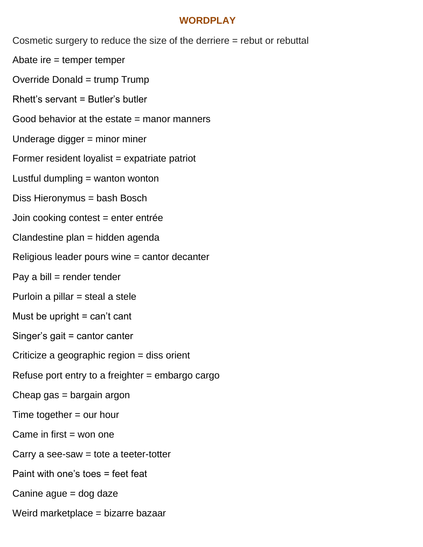#### **WORDPLAY**

Cosmetic surgery to reduce the size of the derriere = rebut or rebuttal

Abate ire = temper temper

Override Donald = trump Trump

Rhett's servant = Butler's butler

Good behavior at the estate = manor manners

Underage digger = minor miner

Former resident loyalist = expatriate patriot

Lustful dumpling  $=$  wanton wonton

Diss Hieronymus = bash Bosch

Join cooking contest = enter entrée

Clandestine plan = hidden agenda

Religious leader pours wine = cantor decanter

Pay a bill  $=$  render tender

Purloin a pillar = steal a stele

Must be upright  $=$  can't cant

Singer's gait = cantor canter

Criticize a geographic region = diss orient

Refuse port entry to a freighter = embargo cargo

Cheap gas = bargain argon

Time together = our hour

Came in first  $=$  won one

Carry a see-saw  $=$  tote a teeter-totter

Paint with one's toes = feet feat

Canine ague = dog daze

Weird marketplace = bizarre bazaar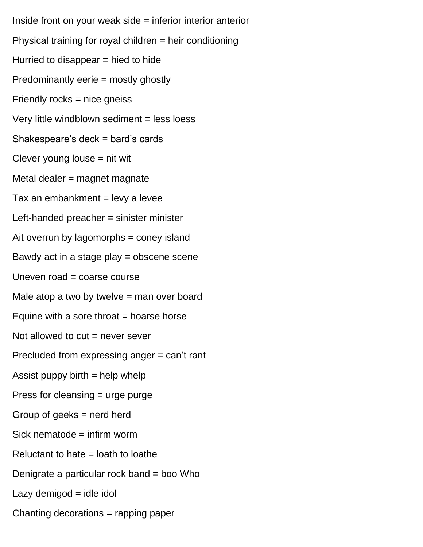Inside front on your weak side = inferior interior anterior Physical training for royal children = heir conditioning Hurried to disappear  $=$  hied to hide Predominantly eerie = mostly ghostly Friendly rocks = nice gneiss Very little windblown sediment = less loess Shakespeare's deck = bard's cards Clever young louse  $=$  nit wit Metal dealer = magnet magnate Tax an embankment  $=$  levy a levee Left-handed preacher = sinister minister Ait overrun by lagomorphs = coney island Bawdy act in a stage play = obscene scene Uneven road = coarse course Male atop a two by twelve  $=$  man over board Equine with a sore throat  $=$  hoarse horse Not allowed to  $cut =$  never sever Precluded from expressing anger = can't rant Assist puppy birth  $=$  help whelp Press for cleansing = urge purge Group of geeks = nerd herd Sick nematode = infirm worm Reluctant to hate  $=$  loath to loathe Denigrate a particular rock band = boo Who  $Lazy$  demigod = idle idol Chanting decorations = rapping paper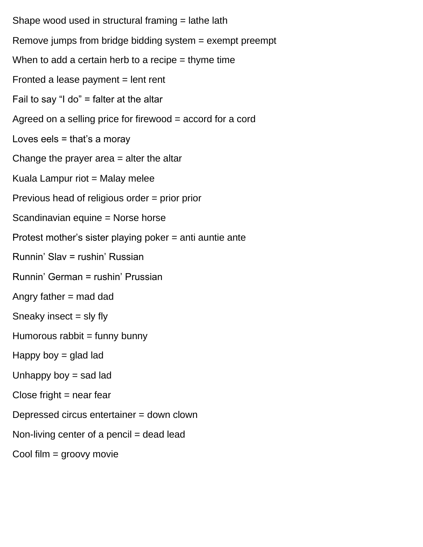Shape wood used in structural framing = lathe lath Remove jumps from bridge bidding system = exempt preempt When to add a certain herb to a recipe  $=$  thyme time Fronted a lease payment  $=$  lent rent Fail to say "I do" = falter at the altar Agreed on a selling price for firewood = accord for a cord Loves eels = that's a moray Change the prayer area = alter the altar Kuala Lampur riot = Malay melee Previous head of religious order = prior prior Scandinavian equine = Norse horse Protest mother's sister playing poker = anti auntie ante Runnin' Slav = rushin' Russian Runnin' German = rushin' Prussian Angry father  $=$  mad dad Sneaky insect  $=$  sly fly Humorous rabbit  $=$  funny bunny Happy boy  $=$  glad lad Unhappy boy  $=$  sad lad  $Close$  fright  $=$  near fear Depressed circus entertainer = down clown Non-living center of a pencil = dead lead Cool film = groovy movie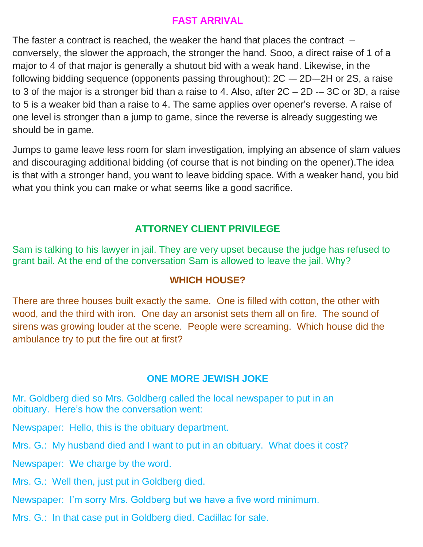#### **FAST ARRIVAL**

The faster a contract is reached, the weaker the hand that places the contract – conversely, the slower the approach, the stronger the hand. Sooo, a direct raise of 1 of a major to 4 of that major is generally a shutout bid with a weak hand. Likewise, in the following bidding sequence (opponents passing throughout):  $2C - 2D-2H$  or 2S, a raise to 3 of the major is a stronger bid than a raise to 4. Also, after  $2C - 2D - 3C$  or 3D, a raise to 5 is a weaker bid than a raise to 4. The same applies over opener's reverse. A raise of one level is stronger than a jump to game, since the reverse is already suggesting we should be in game.

Jumps to game leave less room for slam investigation, implying an absence of slam values and discouraging additional bidding (of course that is not binding on the opener).The idea is that with a stronger hand, you want to leave bidding space. With a weaker hand, you bid what you think you can make or what seems like a good sacrifice.

## **ATTORNEY CLIENT PRIVILEGE**

Sam is talking to his lawyer in jail. They are very upset because the judge has refused to grant bail. At the end of the conversation Sam is allowed to leave the jail. Why?

## **WHICH HOUSE?**

There are three houses built exactly the same. One is filled with cotton, the other with wood, and the third with iron. One day an arsonist sets them all on fire. The sound of sirens was growing louder at the scene. People were screaming. Which house did the ambulance try to put the fire out at first?

## **ONE MORE JEWISH JOKE**

Mr. Goldberg died so Mrs. Goldberg called the local newspaper to put in an obituary. Here's how the conversation went:

Newspaper: Hello, this is the obituary department.

Mrs. G.: My husband died and I want to put in an obituary. What does it cost?

Newspaper: We charge by the word.

Mrs. G.: Well then, just put in Goldberg died.

Newspaper: I'm sorry Mrs. Goldberg but we have a five word minimum.

Mrs. G.: In that case put in Goldberg died. Cadillac for sale.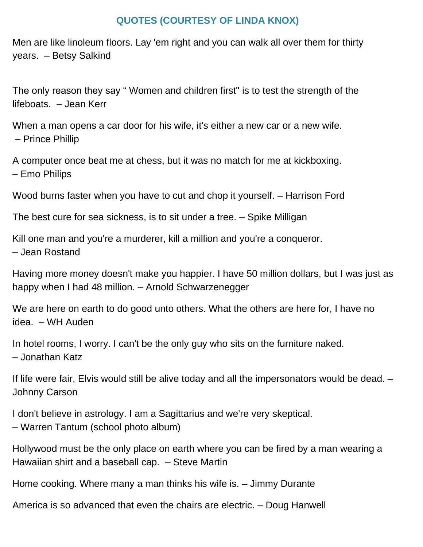#### **QUOTES (COURTESY OF LINDA KNOX)**

Men are like linoleum floors. Lay 'em right and you can walk all over them for thirty years. – Betsy Salkind

The only reason they say " Women and children first" is to test the strength of the lifeboats. – Jean Kerr

When a man opens a car door for his wife, it's either a new car or a new wife. – Prince Phillip

A computer once beat me at chess, but it was no match for me at kickboxing. – Emo Philips

Wood burns faster when you have to cut and chop it yourself. – Harrison Ford

The best cure for sea sickness, is to sit under a tree. – Spike Milligan

Kill one man and you're a murderer, kill a million and you're a conqueror. – Jean Rostand

Having more money doesn't make you happier. I have 50 million dollars, but I was just as happy when I had 48 million. – Arnold Schwarzenegger

We are here on earth to do good unto others. What the others are here for, I have no idea. – WH Auden

In hotel rooms, I worry. I can't be the only guy who sits on the furniture naked. – Jonathan Katz

If life were fair, Elvis would still be alive today and all the impersonators would be dead. – Johnny Carson

I don't believe in astrology. I am a Sagittarius and we're very skeptical. – Warren Tantum (school photo album)

Hollywood must be the only place on earth where you can be fired by a man wearing a Hawaiian shirt and a baseball cap. – Steve Martin

Home cooking. Where many a man thinks his wife is. – Jimmy Durante

America is so advanced that even the chairs are electric. – Doug Hanwell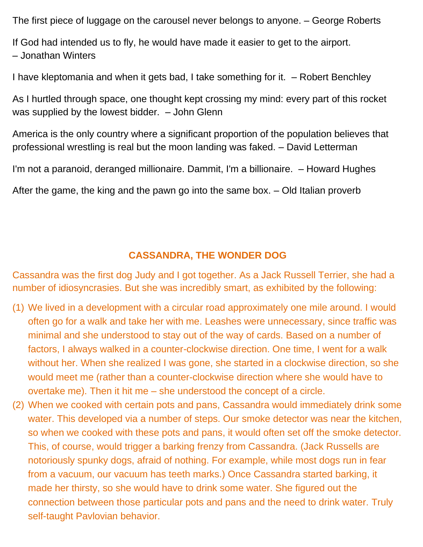The first piece of luggage on the carousel never belongs to anyone. – George Roberts

If God had intended us to fly, he would have made it easier to get to the airport. – Jonathan Winters

I have kleptomania and when it gets bad, I take something for it. – Robert Benchley

As I hurtled through space, one thought kept crossing my mind: every part of this rocket was supplied by the lowest bidder.  $-$  John Glenn

America is the only country where a significant proportion of the population believes that professional wrestling is real but the moon landing was faked. – David Letterman

I'm not a paranoid, deranged millionaire. Dammit, I'm a billionaire. – Howard Hughes

After the game, the king and the pawn go into the same box. – Old Italian proverb

## **CASSANDRA, THE WONDER DOG**

Cassandra was the first dog Judy and I got together. As a Jack Russell Terrier, she had a number of idiosyncrasies. But she was incredibly smart, as exhibited by the following:

- (1) We lived in a development with a circular road approximately one mile around. I would often go for a walk and take her with me. Leashes were unnecessary, since traffic was minimal and she understood to stay out of the way of cards. Based on a number of factors, I always walked in a counter-clockwise direction. One time, I went for a walk without her. When she realized I was gone, she started in a clockwise direction, so she would meet me (rather than a counter-clockwise direction where she would have to overtake me). Then it hit me – she understood the concept of a circle.
- (2) When we cooked with certain pots and pans, Cassandra would immediately drink some water. This developed via a number of steps. Our smoke detector was near the kitchen, so when we cooked with these pots and pans, it would often set off the smoke detector. This, of course, would trigger a barking frenzy from Cassandra. (Jack Russells are notoriously spunky dogs, afraid of nothing. For example, while most dogs run in fear from a vacuum, our vacuum has teeth marks.) Once Cassandra started barking, it made her thirsty, so she would have to drink some water. She figured out the connection between those particular pots and pans and the need to drink water. Truly self-taught Pavlovian behavior.